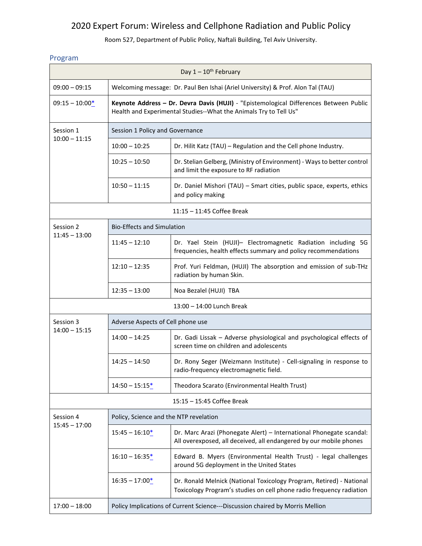## 2020 Expert Forum: Wireless and Cellphone Radiation and Public Policy

Room 527, Department of Public Policy, Naftali Building, Tel Aviv University.

## Program

| Day $1-10^{th}$ February     |                                                                                                                                                             |                                                                                                                                              |  |
|------------------------------|-------------------------------------------------------------------------------------------------------------------------------------------------------------|----------------------------------------------------------------------------------------------------------------------------------------------|--|
| $09:00 - 09:15$              | Welcoming message: Dr. Paul Ben Ishai (Ariel University) & Prof. Alon Tal (TAU)                                                                             |                                                                                                                                              |  |
| $09:15 - 10:00*$             | Keynote Address - Dr. Devra Davis (HUJI) - "Epistemological Differences Between Public<br>Health and Experimental Studies--What the Animals Try to Tell Us" |                                                                                                                                              |  |
| Session 1<br>$10:00 - 11:15$ | Session 1 Policy and Governance                                                                                                                             |                                                                                                                                              |  |
|                              | $10:00 - 10:25$                                                                                                                                             | Dr. Hilit Katz (TAU) - Regulation and the Cell phone Industry.                                                                               |  |
|                              | $10:25 - 10:50$                                                                                                                                             | Dr. Stelian Gelberg, (Ministry of Environment) - Ways to better control<br>and limit the exposure to RF radiation                            |  |
|                              | $10:50 - 11:15$                                                                                                                                             | Dr. Daniel Mishori (TAU) - Smart cities, public space, experts, ethics<br>and policy making                                                  |  |
| 11:15 - 11:45 Coffee Break   |                                                                                                                                                             |                                                                                                                                              |  |
| Session 2<br>$11:45 - 13:00$ | <b>Bio-Effects and Simulation</b>                                                                                                                           |                                                                                                                                              |  |
|                              | $11:45 - 12:10$                                                                                                                                             | Dr. Yael Stein (HUJI)- Electromagnetic Radiation including 5G<br>frequencies, health effects summary and policy recommendations              |  |
|                              | $12:10 - 12:35$                                                                                                                                             | Prof. Yuri Feldman, (HUJI) The absorption and emission of sub-THz<br>radiation by human Skin.                                                |  |
|                              | $12:35 - 13:00$                                                                                                                                             | Noa Bezalel (HUJI) TBA                                                                                                                       |  |
| 13:00 - 14:00 Lunch Break    |                                                                                                                                                             |                                                                                                                                              |  |
| Session 3<br>$14:00 - 15:15$ | Adverse Aspects of Cell phone use                                                                                                                           |                                                                                                                                              |  |
|                              | $14:00 - 14:25$                                                                                                                                             | Dr. Gadi Lissak - Adverse physiological and psychological effects of<br>screen time on children and adolescents                              |  |
|                              | $14:25 - 14:50$                                                                                                                                             | Dr. Rony Seger (Weizmann Institute) - Cell-signaling in response to<br>radio-frequency electromagnetic field.                                |  |
|                              | $14:50 - 15:15*$                                                                                                                                            | Theodora Scarato (Environmental Health Trust)                                                                                                |  |
| 15:15 - 15:45 Coffee Break   |                                                                                                                                                             |                                                                                                                                              |  |
| Session 4<br>$15:45 - 17:00$ | Policy, Science and the NTP revelation                                                                                                                      |                                                                                                                                              |  |
|                              | $15:45 - 16:10*$                                                                                                                                            | Dr. Marc Arazi (Phonegate Alert) - International Phonegate scandal:<br>All overexposed, all deceived, all endangered by our mobile phones    |  |
|                              | $16:10 - 16:35*$                                                                                                                                            | Edward B. Myers (Environmental Health Trust) - legal challenges<br>around 5G deployment in the United States                                 |  |
|                              | $16:35 - 17:00*$                                                                                                                                            | Dr. Ronald Melnick (National Toxicology Program, Retired) - National<br>Toxicology Program's studies on cell phone radio frequency radiation |  |
| $17:00 - 18:00$              | Policy Implications of Current Science---Discussion chaired by Morris Mellion                                                                               |                                                                                                                                              |  |